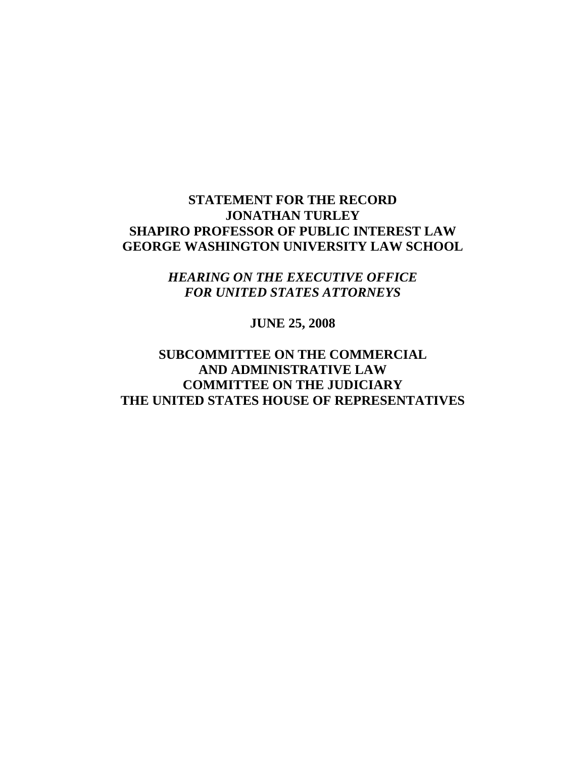### **STATEMENT FOR THE RECORD JONATHAN TURLEY SHAPIRO PROFESSOR OF PUBLIC INTEREST LAW GEORGE WASHINGTON UNIVERSITY LAW SCHOOL**

*HEARING ON THE EXECUTIVE OFFICE FOR UNITED STATES ATTORNEYS* 

**JUNE 25, 2008** 

### **SUBCOMMITTEE ON THE COMMERCIAL AND ADMINISTRATIVE LAW COMMITTEE ON THE JUDICIARY THE UNITED STATES HOUSE OF REPRESENTATIVES**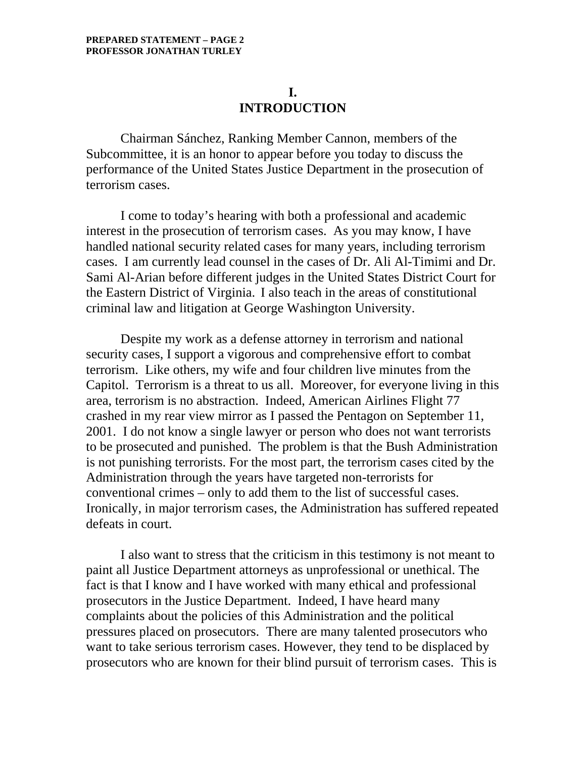### **I. INTRODUCTION**

Chairman Sánchez, Ranking Member Cannon, members of the Subcommittee, it is an honor to appear before you today to discuss the performance of the United States Justice Department in the prosecution of terrorism cases.

I come to today's hearing with both a professional and academic interest in the prosecution of terrorism cases. As you may know, I have handled national security related cases for many years, including terrorism cases. I am currently lead counsel in the cases of Dr. Ali Al-Timimi and Dr. Sami Al-Arian before different judges in the United States District Court for the Eastern District of Virginia. I also teach in the areas of constitutional criminal law and litigation at George Washington University.

Despite my work as a defense attorney in terrorism and national security cases, I support a vigorous and comprehensive effort to combat terrorism. Like others, my wife and four children live minutes from the Capitol. Terrorism is a threat to us all. Moreover, for everyone living in this area, terrorism is no abstraction. Indeed, American Airlines Flight 77 crashed in my rear view mirror as I passed the Pentagon on September 11, 2001. I do not know a single lawyer or person who does not want terrorists to be prosecuted and punished. The problem is that the Bush Administration is not punishing terrorists. For the most part, the terrorism cases cited by the Administration through the years have targeted non-terrorists for conventional crimes – only to add them to the list of successful cases. Ironically, in major terrorism cases, the Administration has suffered repeated defeats in court.

I also want to stress that the criticism in this testimony is not meant to paint all Justice Department attorneys as unprofessional or unethical. The fact is that I know and I have worked with many ethical and professional prosecutors in the Justice Department. Indeed, I have heard many complaints about the policies of this Administration and the political pressures placed on prosecutors. There are many talented prosecutors who want to take serious terrorism cases. However, they tend to be displaced by prosecutors who are known for their blind pursuit of terrorism cases. This is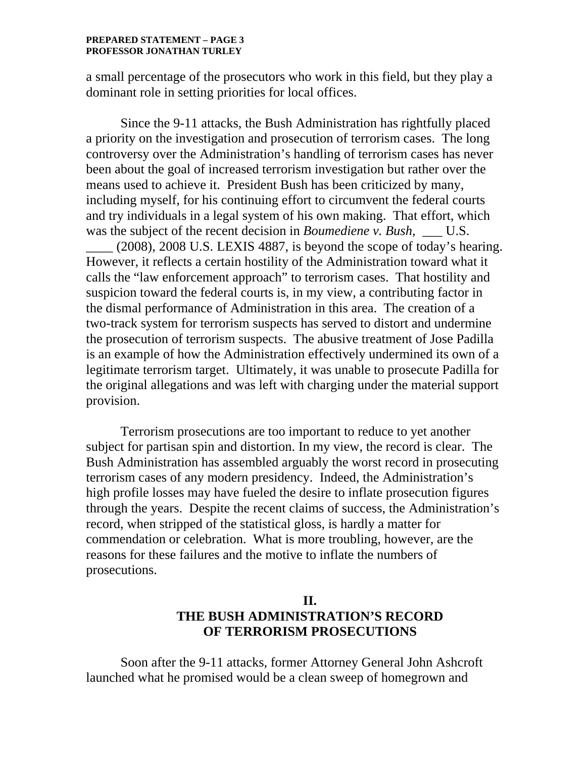#### **PREPARED STATEMENT – PAGE 3 PROFESSOR JONATHAN TURLEY**

a small percentage of the prosecutors who work in this field, but they play a dominant role in setting priorities for local offices.

Since the 9-11 attacks, the Bush Administration has rightfully placed a priority on the investigation and prosecution of terrorism cases. The long controversy over the Administration's handling of terrorism cases has never been about the goal of increased terrorism investigation but rather over the means used to achieve it. President Bush has been criticized by many, including myself, for his continuing effort to circumvent the federal courts and try individuals in a legal system of his own making. That effort, which was the subject of the recent decision in *Boumediene v. Bush*, U.S. \_\_\_\_ (2008), 2008 U.S. LEXIS 4887, is beyond the scope of today's hearing. However, it reflects a certain hostility of the Administration toward what it calls the "law enforcement approach" to terrorism cases. That hostility and suspicion toward the federal courts is, in my view, a contributing factor in the dismal performance of Administration in this area. The creation of a two-track system for terrorism suspects has served to distort and undermine the prosecution of terrorism suspects. The abusive treatment of Jose Padilla is an example of how the Administration effectively undermined its own of a legitimate terrorism target. Ultimately, it was unable to prosecute Padilla for the original allegations and was left with charging under the material support provision.

Terrorism prosecutions are too important to reduce to yet another subject for partisan spin and distortion. In my view, the record is clear. The Bush Administration has assembled arguably the worst record in prosecuting terrorism cases of any modern presidency. Indeed, the Administration's high profile losses may have fueled the desire to inflate prosecution figures through the years. Despite the recent claims of success, the Administration's record, when stripped of the statistical gloss, is hardly a matter for commendation or celebration. What is more troubling, however, are the reasons for these failures and the motive to inflate the numbers of prosecutions.

## **II. THE BUSH ADMINISTRATION'S RECORD OF TERRORISM PROSECUTIONS**

Soon after the 9-11 attacks, former Attorney General John Ashcroft launched what he promised would be a clean sweep of homegrown and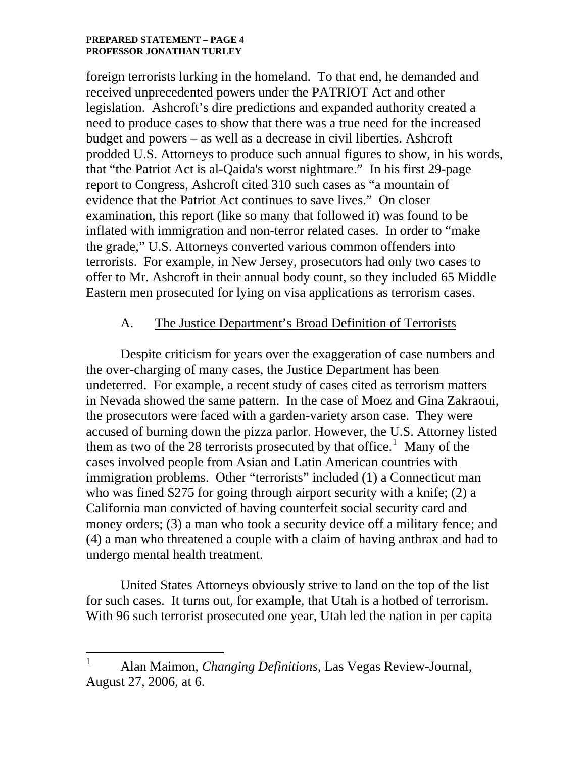#### **PREPARED STATEMENT – PAGE 4 PROFESSOR JONATHAN TURLEY**

foreign terrorists lurking in the homeland. To that end, he demanded and received unprecedented powers under the PATRIOT Act and other legislation. Ashcroft's dire predictions and expanded authority created a need to produce cases to show that there was a true need for the increased budget and powers – as well as a decrease in civil liberties. Ashcroft prodded U.S. Attorneys to produce such annual figures to show, in his words, that "the Patriot Act is al-Qaida's worst nightmare." In his first 29-page report to Congress, Ashcroft cited 310 such cases as "a mountain of evidence that the Patriot Act continues to save lives." On closer examination, this report (like so many that followed it) was found to be inflated with immigration and non-terror related cases. In order to "make the grade," U.S. Attorneys converted various common offenders into terrorists. For example, in New Jersey, prosecutors had only two cases to offer to Mr. Ashcroft in their annual body count, so they included 65 Middle Eastern men prosecuted for lying on visa applications as terrorism cases.

### A. The Justice Department's Broad Definition of Terrorists

Despite criticism for years over the exaggeration of case numbers and the over-charging of many cases, the Justice Department has been undeterred. For example, a recent study of cases cited as terrorism matters in Nevada showed the same pattern. In the case of Moez and Gina Zakraoui, the prosecutors were faced with a garden-variety arson case. They were accused of burning down the pizza parlor. However, the U.S. Attorney listed them as two of the 28 terrorists prosecuted by that office.<sup>[1](#page-3-0)</sup> Many of the cases involved people from Asian and Latin American countries with immigration problems. Other "terrorists" included (1) a Connecticut man who was fined \$275 for going through airport security with a knife; (2) a California man convicted of having counterfeit social security card and money orders; (3) a man who took a security device off a military fence; and (4) a man who threatened a couple with a claim of having anthrax and had to undergo mental health treatment.

United States Attorneys obviously strive to land on the top of the list for such cases. It turns out, for example, that Utah is a hotbed of terrorism. With 96 such terrorist prosecuted one year, Utah led the nation in per capita

 $\overline{a}$ 

<span id="page-3-0"></span><sup>1</sup> Alan Maimon, *Changing Definitions*, Las Vegas Review-Journal, August 27, 2006, at 6.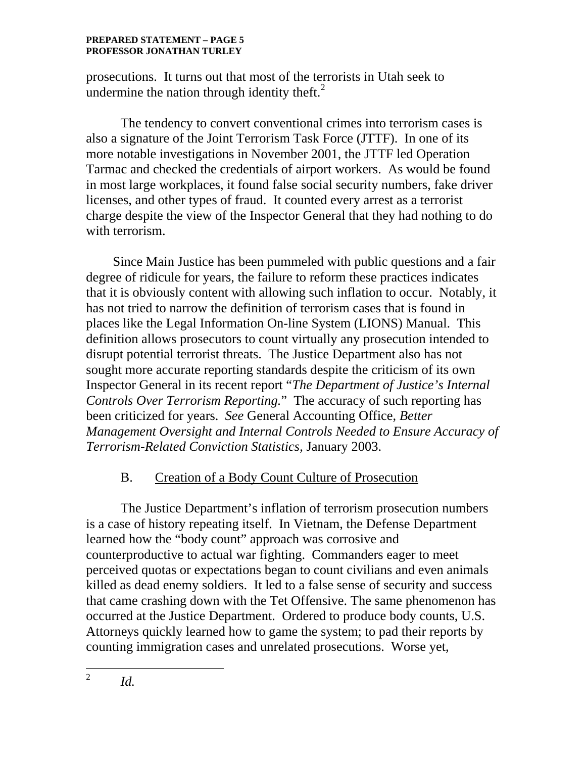#### **PREPARED STATEMENT – PAGE 5 PROFESSOR JONATHAN TURLEY**

prosecutions. It turns out that most of the te[rr](#page-4-0)orists in Utah seek to undermine the nation through identity theft. $<sup>2</sup>$  $<sup>2</sup>$  $<sup>2</sup>$ </sup>

The tendency to convert conventional crimes into terrorism cases is also a signature of the Joint Terrorism Task Force (JTTF). In one of its more notable investigations in November 2001, the JTTF led Operation Tarmac and checked the credentials of airport workers. As would be found in most large workplaces, it found false social security numbers, fake driver licenses, and other types of fraud. It counted every arrest as a terrorist charge despite the view of the Inspector General that they had nothing to do with terrorism.

 Since Main Justice has been pummeled with public questions and a fair degree of ridicule for years, the failure to reform these practices indicates that it is obviously content with allowing such inflation to occur. Notably, it has not tried to narrow the definition of terrorism cases that is found in places like the Legal Information On-line System (LIONS) Manual. This definition allows prosecutors to count virtually any prosecution intended to disrupt potential terrorist threats. The Justice Department also has not sought more accurate reporting standards despite the criticism of its own Inspector General in its recent report "*The Department of Justice's Internal Controls Over Terrorism Reporting.*" The accuracy of such reporting has been criticized for years. *See* General Accounting Office, *Better Management Oversight and Internal Controls Needed to Ensure Accuracy of Terrorism-Related Conviction Statistics*, January 2003.

## B. Creation of a Body Count Culture of Prosecution

The Justice Department's inflation of terrorism prosecution numbers is a case of history repeating itself. In Vietnam, the Defense Department learned how the "body count" approach was corrosive and counterproductive to actual war fighting. Commanders eager to meet perceived quotas or expectations began to count civilians and even animals killed as dead enemy soldiers. It led to a false sense of security and success that came crashing down with the Tet Offensive. The same phenomenon has occurred at the Justice Department. Ordered to produce body counts, U.S. Attorneys quickly learned how to game the system; to pad their reports by counting immigration cases and unrelated prosecutions. Worse yet,

<span id="page-4-0"></span> $\overline{a}$ 2 *Id.*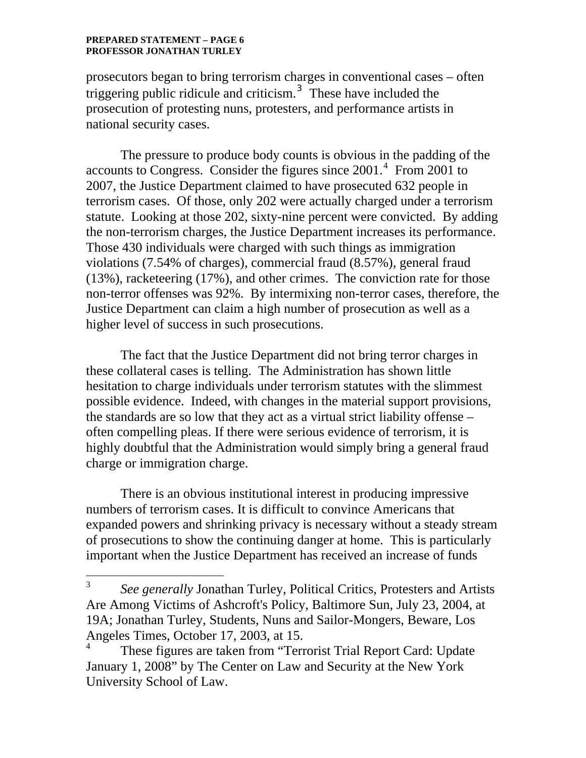#### **PREPARED STATEMENT – PAGE 6 PROFESSOR JONATHAN TURLEY**

 $\overline{a}$ 

prosecutors began to bring terrorism charges in conventional cases – often triggering public ridicule and criticism.<sup>[3](#page-5-0)</sup> These have included the prosecution of protesting nuns, protesters, and performance artists in national security cases.

 The pressure to produce body counts is obvious in the padding of the accounts to Congress. Consider the figures since  $2001<sup>4</sup>$  $2001<sup>4</sup>$  $2001<sup>4</sup>$  From 2001 to 2007, the Justice Department claimed to have prosecuted 632 people in terrorism cases. Of those, only 202 were actually charged under a terrorism statute. Looking at those 202, sixty-nine percent were convicted. By adding the non-terrorism charges, the Justice Department increases its performance. Those 430 individuals were charged with such things as immigration violations (7.54% of charges), commercial fraud (8.57%), general fraud (13%), racketeering (17%), and other crimes. The conviction rate for those non-terror offenses was 92%. By intermixing non-terror cases, therefore, the Justice Department can claim a high number of prosecution as well as a higher level of success in such prosecutions.

 The fact that the Justice Department did not bring terror charges in these collateral cases is telling. The Administration has shown little hesitation to charge individuals under terrorism statutes with the slimmest possible evidence. Indeed, with changes in the material support provisions, the standards are so low that they act as a virtual strict liability offense – often compelling pleas. If there were serious evidence of terrorism, it is highly doubtful that the Administration would simply bring a general fraud charge or immigration charge.

There is an obvious institutional interest in producing impressive numbers of terrorism cases. It is difficult to convince Americans that expanded powers and shrinking privacy is necessary without a steady stream of prosecutions to show the continuing danger at home. This is particularly important when the Justice Department has received an increase of funds

<span id="page-5-0"></span><sup>3</sup> *See generally* Jonathan Turley, Political Critics, Protesters and Artists Are Among Victims of Ashcroft's Policy, Baltimore Sun, July 23, 2004, at 19A; Jonathan Turley, Students, Nuns and Sailor-Mongers, Beware, Los Angeles Times, October 17, 2003, at 15.

<span id="page-5-1"></span><sup>4</sup> These figures are taken from "Terrorist Trial Report Card: Update January 1, 2008" by The Center on Law and Security at the New York University School of Law.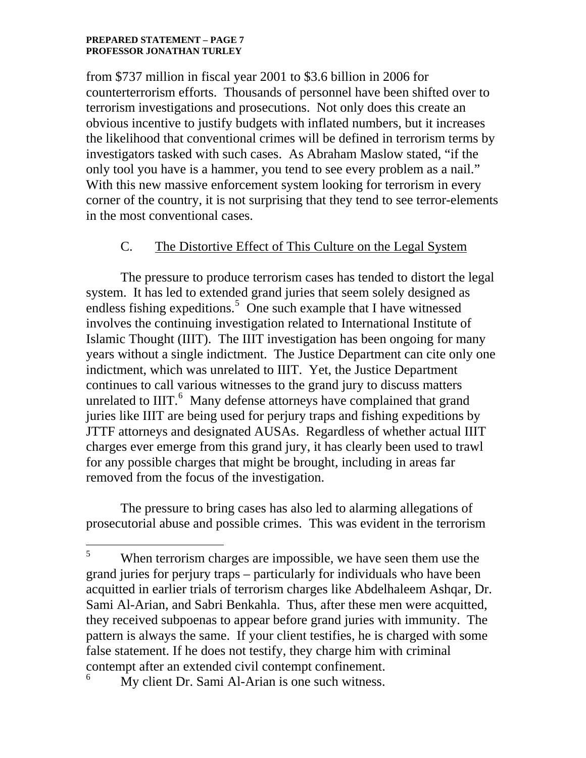#### **PREPARED STATEMENT – PAGE 7 PROFESSOR JONATHAN TURLEY**

 $\overline{a}$ 

from \$737 million in fiscal year 2001 to \$3.6 billion in 2006 for counterterrorism efforts. Thousands of personnel have been shifted over to terrorism investigations and prosecutions. Not only does this create an obvious incentive to justify budgets with inflated numbers, but it increases the likelihood that conventional crimes will be defined in terrorism terms by investigators tasked with such cases. As Abraham Maslow stated, "if the only tool you have is a hammer, you tend to see every problem as a nail." With this new massive enforcement system looking for terrorism in every corner of the country, it is not surprising that they tend to see terror-elements in the most conventional cases.

### C. The Distortive Effect of This Culture on the Legal System

The pressure to produce terrorism cases has tended to distort the legal system. It has led to extended grand juries that seem solely designed as endless fishing expeditions.<sup>[5](#page-6-0)</sup> One such example that I have witnessed involves the continuing investigation related to International Institute of Islamic Thought (IIIT). The IIIT investigation has been ongoing for many years without a single indictment. The Justice Department can cite only one indictment, which was unrelated to IIIT. Yet, the Justice Department continues to call various witnesses to the grand jury to discuss matters unrelated to IIIT.<sup>[6](#page-6-1)</sup> Many defense attorneys have complained that grand juries like IIIT are being used for perjury traps and fishing expeditions by JTTF attorneys and designated AUSAs. Regardless of whether actual IIIT charges ever emerge from this grand jury, it has clearly been used to trawl for any possible charges that might be brought, including in areas far removed from the focus of the investigation.

 The pressure to bring cases has also led to alarming allegations of prosecutorial abuse and possible crimes. This was evident in the terrorism

<span id="page-6-0"></span><sup>5</sup> When terrorism charges are impossible, we have seen them use the grand juries for perjury traps – particularly for individuals who have been acquitted in earlier trials of terrorism charges like Abdelhaleem Ashqar, Dr. Sami Al-Arian, and Sabri Benkahla. Thus, after these men were acquitted, they received subpoenas to appear before grand juries with immunity. The pattern is always the same. If your client testifies, he is charged with some false statement. If he does not testify, they charge him with criminal contempt after an extended civil contempt confinement. 6

<span id="page-6-1"></span>My client Dr. Sami Al-Arian is one such witness.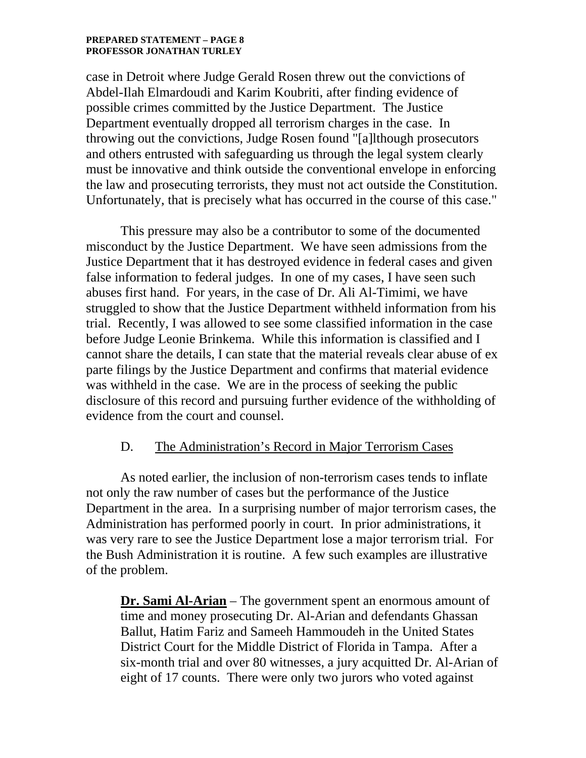#### **PREPARED STATEMENT – PAGE 8 PROFESSOR JONATHAN TURLEY**

case in Detroit where Judge Gerald Rosen threw out the convictions of Abdel-Ilah Elmardoudi and Karim Koubriti, after finding evidence of possible crimes committed by the Justice Department. The Justice Department eventually dropped all terrorism charges in the case. In throwing out the convictions, Judge Rosen found "[a]lthough prosecutors and others entrusted with safeguarding us through the legal system clearly must be innovative and think outside the conventional envelope in enforcing the law and prosecuting terrorists, they must not act outside the Constitution. Unfortunately, that is precisely what has occurred in the course of this case."

 This pressure may also be a contributor to some of the documented misconduct by the Justice Department. We have seen admissions from the Justice Department that it has destroyed evidence in federal cases and given false information to federal judges. In one of my cases, I have seen such abuses first hand. For years, in the case of Dr. Ali Al-Timimi, we have struggled to show that the Justice Department withheld information from his trial. Recently, I was allowed to see some classified information in the case before Judge Leonie Brinkema. While this information is classified and I cannot share the details, I can state that the material reveals clear abuse of ex parte filings by the Justice Department and confirms that material evidence was withheld in the case. We are in the process of seeking the public disclosure of this record and pursuing further evidence of the withholding of evidence from the court and counsel.

### D. The Administration's Record in Major Terrorism Cases

 As noted earlier, the inclusion of non-terrorism cases tends to inflate not only the raw number of cases but the performance of the Justice Department in the area. In a surprising number of major terrorism cases, the Administration has performed poorly in court. In prior administrations, it was very rare to see the Justice Department lose a major terrorism trial. For the Bush Administration it is routine. A few such examples are illustrative of the problem.

**Dr. Sami Al-Arian** – The government spent an enormous amount of time and money prosecuting Dr. Al-Arian and defendants [Ghassan](http://en.wikipedia.org/w/index.php?title=Ghassan_Ballut&action=edit&redlink=1)  [Ballut](http://en.wikipedia.org/w/index.php?title=Ghassan_Ballut&action=edit&redlink=1), [Hatim Fariz](http://en.wikipedia.org/w/index.php?title=Hatim_Fariz&action=edit&redlink=1) and [Sameeh Hammoudeh](http://en.wikipedia.org/w/index.php?title=Sameeh_Hammoudeh&action=edit&redlink=1) in the [United States](http://en.wikipedia.org/wiki/United_States_District_Court_for_the_Middle_District_of_Florida)  [District Court for the Middle District of Florida](http://en.wikipedia.org/wiki/United_States_District_Court_for_the_Middle_District_of_Florida) in [Tampa](http://en.wikipedia.org/wiki/Tampa%2C_Florida). After a six-month trial and over 80 witnesses, a jury acquitted Dr. Al-Arian of eight of 17 counts. There were only two jurors who voted against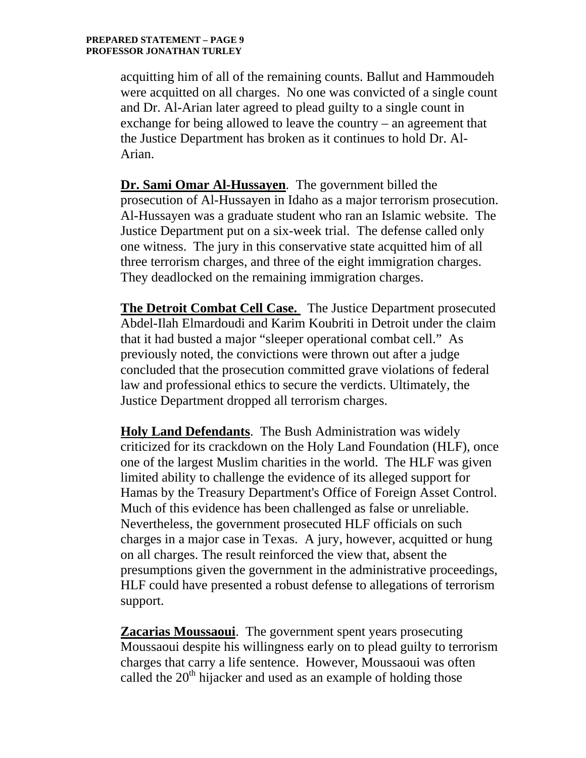acquitting him of all of the remaining counts. Ballut and Hammoudeh were acquitted on all charges. No one was convicted of a single count and Dr. Al-Arian later agreed to plead guilty to a single count in exchange for being allowed to leave the country – an agreement that the Justice Department has broken as it continues to hold Dr. Al-Arian.

**Dr. Sami Omar Al-Hussayen**. The government billed the prosecution of Al-Hussayen in Idaho as a major terrorism prosecution. Al-Hussayen was a graduate student who ran an Islamic website. The Justice Department put on a six-week trial. The defense called only one witness. The jury in this conservative state acquitted him of all three terrorism charges, and three of the eight immigration charges. They deadlocked on the remaining immigration charges.

**The Detroit Combat Cell Case.** The Justice Department prosecuted Abdel-Ilah Elmardoudi and Karim Koubriti in Detroit under the claim that it had busted a major "sleeper operational combat cell." As previously noted, the convictions were thrown out after a judge concluded that the prosecution committed grave violations of federal law and professional ethics to secure the verdicts. Ultimately, the Justice Department dropped all terrorism charges.

**Holy Land Defendants**. The Bush Administration was widely criticized for its crackdown on the Holy Land Foundation (HLF), once one of the largest Muslim charities in the world. The HLF was given limited ability to challenge the evidence of its alleged support for Hamas by the Treasury Department's Office of Foreign Asset Control. Much of this evidence has been challenged as false or unreliable. Nevertheless, the government prosecuted HLF officials on such charges in a major case in Texas. A jury, however, acquitted or hung on all charges. The result reinforced the view that, absent the presumptions given the government in the administrative proceedings, HLF could have presented a robust defense to allegations of terrorism support.

**Zacarias [Moussaoui](http://en.wikipedia.org/wiki/Musavi_%28name%29)**. The government spent years prosecuting Moussaoui despite his willingness early on to plead guilty to terrorism charges that carry a life sentence. However, Moussaoui was often called the  $20<sup>th</sup>$  hijacker and used as an example of holding those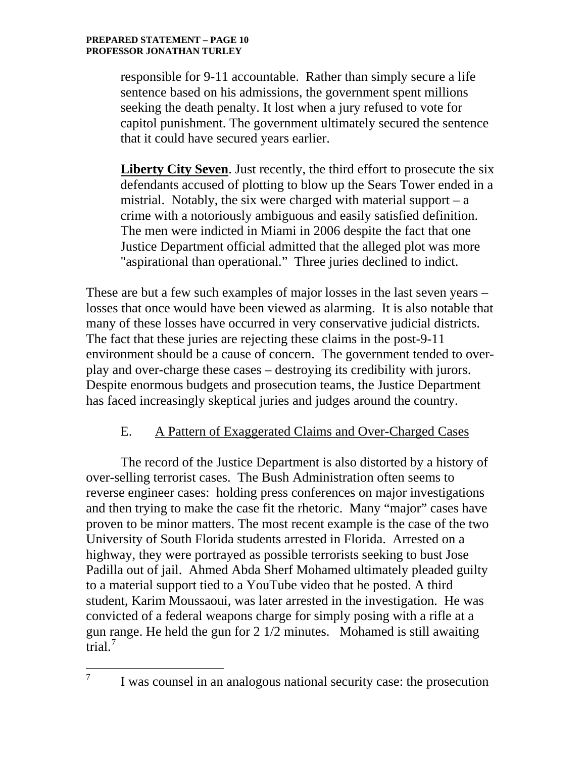$\overline{a}$ 

responsible for 9-11 accountable. Rather than simply secure a life sentence based on his admissions, the government spent millions seeking the death penalty. It lost when a jury refused to vote for capitol punishment. The government ultimately secured the sentence that it could have secured years earlier.

**Liberty City Seven**. Just recently, the third effort to prosecute the six defendants accused of plotting to blow up the Sears Tower ended in a mistrial. Notably, the six were charged with material support  $-$  a crime with a notoriously ambiguous and easily satisfied definition. The men were indicted in Miami in 2006 despite the fact that one Justice Department official admitted that the alleged plot was more "aspirational than operational." Three juries declined to indict.

These are but a few such examples of major losses in the last seven years – losses that once would have been viewed as alarming. It is also notable that many of these losses have occurred in very conservative judicial districts. The fact that these juries are rejecting these claims in the post-9-11 environment should be a cause of concern. The government tended to overplay and over-charge these cases – destroying its credibility with jurors. Despite enormous budgets and prosecution teams, the Justice Department has faced increasingly skeptical juries and judges around the country.

# E. A Pattern of Exaggerated Claims and Over-Charged Cases

 The record of the Justice Department is also distorted by a history of over-selling terrorist cases. The Bush Administration often seems to reverse engineer cases: holding press conferences on major investigations and then trying to make the case fit the rhetoric. Many "major" cases have proven to be minor matters. The most recent example is the case of the two University of South Florida students arrested in Florida. Arrested on a highway, they were portrayed as possible terrorists seeking to bust Jose Padilla out of jail. Ahmed Abda Sherf Mohamed ultimately pleaded guilty to a material support tied to a YouTube video that he posted. A third student, Karim Moussaoui, was later arrested in the investigation. He was convicted of a federal weapons charge for simply posing with a rifle at a gun r[a](#page-9-0)nge. He held the gun for 2 1/2 minutes. Mohamed is still awaiting trial. $<sup>7</sup>$  $<sup>7</sup>$  $<sup>7</sup>$ </sup>

<span id="page-9-0"></span><sup>7</sup> I was counsel in an analogous national security case: the prosecution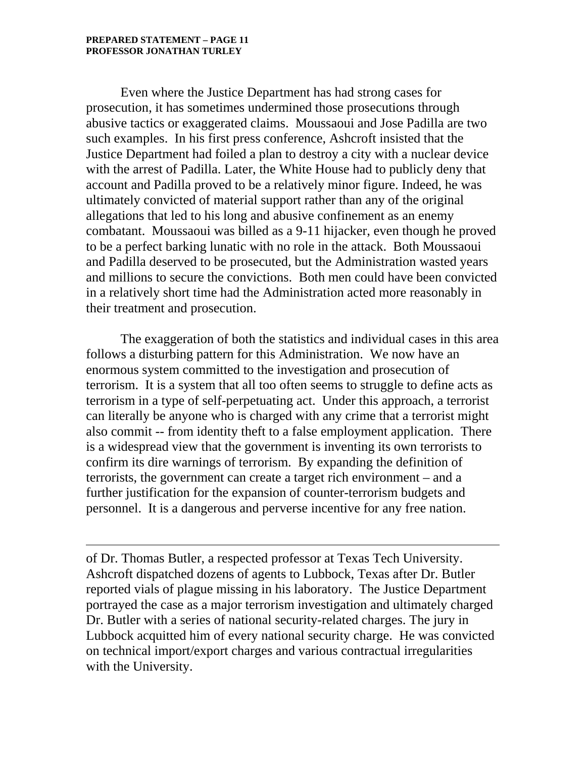$\overline{a}$ 

Even where the Justice Department has had strong cases for prosecution, it has sometimes undermined those prosecutions through abusive tactics or exaggerated claims. Moussaoui and Jose Padilla are two such examples. In his first press conference, Ashcroft insisted that the Justice Department had foiled a plan to destroy a city with a nuclear device with the arrest of Padilla. Later, the White House had to publicly deny that account and Padilla proved to be a relatively minor figure. Indeed, he was ultimately convicted of material support rather than any of the original allegations that led to his long and abusive confinement as an enemy combatant. Moussaoui was billed as a 9-11 hijacker, even though he proved to be a perfect barking lunatic with no role in the attack. Both Moussaoui and Padilla deserved to be prosecuted, but the Administration wasted years and millions to secure the convictions. Both men could have been convicted in a relatively short time had the Administration acted more reasonably in their treatment and prosecution.

 The exaggeration of both the statistics and individual cases in this area follows a disturbing pattern for this Administration. We now have an enormous system committed to the investigation and prosecution of terrorism. It is a system that all too often seems to struggle to define acts as terrorism in a type of self-perpetuating act. Under this approach, a terrorist can literally be anyone who is charged with any crime that a terrorist might also commit -- from identity theft to a false employment application. There is a widespread view that the government is inventing its own terrorists to confirm its dire warnings of terrorism. By expanding the definition of terrorists, the government can create a target rich environment – and a further justification for the expansion of counter-terrorism budgets and personnel. It is a dangerous and perverse incentive for any free nation.

of Dr. Thomas Butler, a respected professor at Texas Tech University. Ashcroft dispatched dozens of agents to Lubbock, Texas after Dr. Butler reported vials of plague missing in his laboratory. The Justice Department portrayed the case as a major terrorism investigation and ultimately charged Dr. Butler with a series of national security-related charges. The jury in Lubbock acquitted him of every national security charge. He was convicted on technical import/export charges and various contractual irregularities with the University.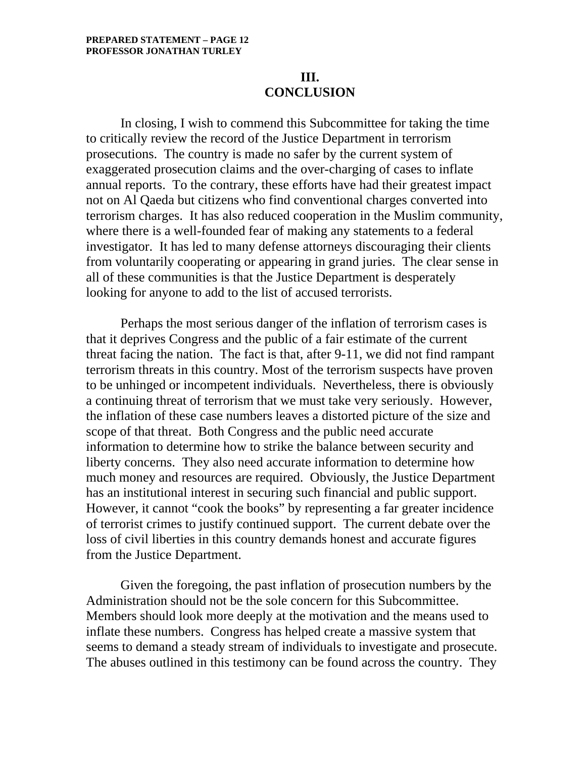### **III. CONCLUSION**

In closing, I wish to commend this Subcommittee for taking the time to critically review the record of the Justice Department in terrorism prosecutions. The country is made no safer by the current system of exaggerated prosecution claims and the over-charging of cases to inflate annual reports. To the contrary, these efforts have had their greatest impact not on Al Qaeda but citizens who find conventional charges converted into terrorism charges. It has also reduced cooperation in the Muslim community, where there is a well-founded fear of making any statements to a federal investigator. It has led to many defense attorneys discouraging their clients from voluntarily cooperating or appearing in grand juries. The clear sense in all of these communities is that the Justice Department is desperately looking for anyone to add to the list of accused terrorists.

Perhaps the most serious danger of the inflation of terrorism cases is that it deprives Congress and the public of a fair estimate of the current threat facing the nation. The fact is that, after 9-11, we did not find rampant terrorism threats in this country. Most of the terrorism suspects have proven to be unhinged or incompetent individuals. Nevertheless, there is obviously a continuing threat of terrorism that we must take very seriously. However, the inflation of these case numbers leaves a distorted picture of the size and scope of that threat. Both Congress and the public need accurate information to determine how to strike the balance between security and liberty concerns. They also need accurate information to determine how much money and resources are required. Obviously, the Justice Department has an institutional interest in securing such financial and public support. However, it cannot "cook the books" by representing a far greater incidence of terrorist crimes to justify continued support. The current debate over the loss of civil liberties in this country demands honest and accurate figures from the Justice Department.

Given the foregoing, the past inflation of prosecution numbers by the Administration should not be the sole concern for this Subcommittee. Members should look more deeply at the motivation and the means used to inflate these numbers. Congress has helped create a massive system that seems to demand a steady stream of individuals to investigate and prosecute. The abuses outlined in this testimony can be found across the country. They